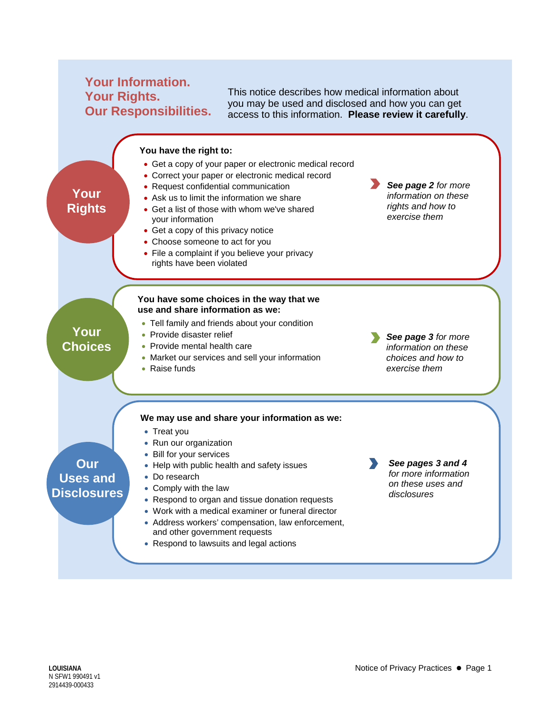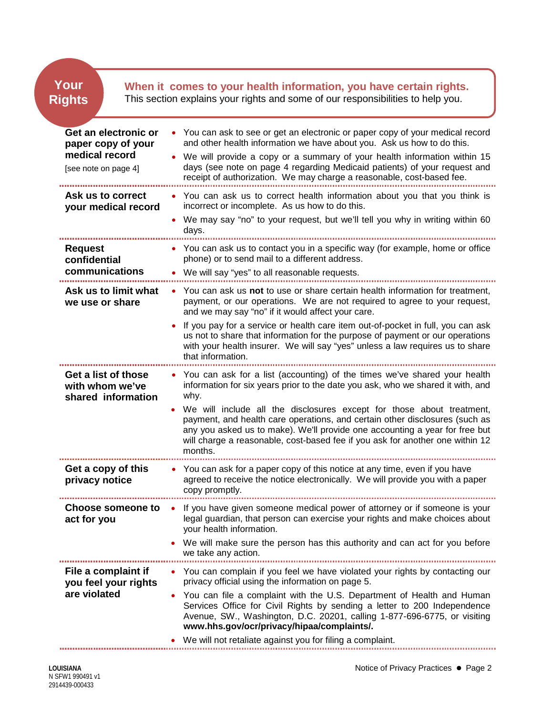| Your          |
|---------------|
| <b>Rights</b> |

**When it comes to your health information, you have certain rights.** This section explains your rights and some of our responsibilities to help you.

| Get an electronic or<br>paper copy of your<br>medical record<br>[see note on page 4]<br>Ask us to correct<br>your medical record | You can ask to see or get an electronic or paper copy of your medical record<br>and other health information we have about you. Ask us how to do this.<br>We will provide a copy or a summary of your health information within 15<br>days (see note on page 4 regarding Medicaid patients) of your request and<br>receipt of authorization. We may charge a reasonable, cost-based fee.<br>You can ask us to correct health information about you that you think is<br>incorrect or incomplete. As us how to do this.<br>We may say "no" to your request, but we'll tell you why in writing within 60<br>days. |
|----------------------------------------------------------------------------------------------------------------------------------|-----------------------------------------------------------------------------------------------------------------------------------------------------------------------------------------------------------------------------------------------------------------------------------------------------------------------------------------------------------------------------------------------------------------------------------------------------------------------------------------------------------------------------------------------------------------------------------------------------------------|
| <b>Request</b><br>confidential<br>communications                                                                                 | • You can ask us to contact you in a specific way (for example, home or office<br>phone) or to send mail to a different address.<br>We will say "yes" to all reasonable requests.                                                                                                                                                                                                                                                                                                                                                                                                                               |
| Ask us to limit what<br>we use or share                                                                                          | You can ask us not to use or share certain health information for treatment,<br>payment, or our operations. We are not required to agree to your request,<br>and we may say "no" if it would affect your care.<br>If you pay for a service or health care item out-of-pocket in full, you can ask<br>us not to share that information for the purpose of payment or our operations<br>with your health insurer. We will say "yes" unless a law requires us to share<br>that information.                                                                                                                        |
| Get a list of those<br>with whom we've<br>shared information                                                                     | You can ask for a list (accounting) of the times we've shared your health<br>information for six years prior to the date you ask, who we shared it with, and<br>why.<br>We will include all the disclosures except for those about treatment,<br>payment, and health care operations, and certain other disclosures (such as<br>any you asked us to make). We'll provide one accounting a year for free but<br>will charge a reasonable, cost-based fee if you ask for another one within 12<br>months.                                                                                                         |
| Get a copy of this<br>privacy notice                                                                                             | You can ask for a paper copy of this notice at any time, even if you have<br>agreed to receive the notice electronically. We will provide you with a paper<br>copy promptly.                                                                                                                                                                                                                                                                                                                                                                                                                                    |
| <b>Choose someone to</b><br>act for you                                                                                          | If you have given someone medical power of attorney or if someone is your<br>legal guardian, that person can exercise your rights and make choices about<br>your health information.<br>We will make sure the person has this authority and can act for you before<br>we take any action.                                                                                                                                                                                                                                                                                                                       |
| File a complaint if<br>you feel your rights<br>are violated                                                                      | You can complain if you feel we have violated your rights by contacting our<br>٠<br>privacy official using the information on page 5.<br>You can file a complaint with the U.S. Department of Health and Human<br>Services Office for Civil Rights by sending a letter to 200 Independence<br>Avenue, SW., Washington, D.C. 20201, calling 1-877-696-6775, or visiting<br>www.hhs.gov/ocr/privacy/hipaa/complaints/.<br>We will not retaliate against you for filing a complaint.                                                                                                                               |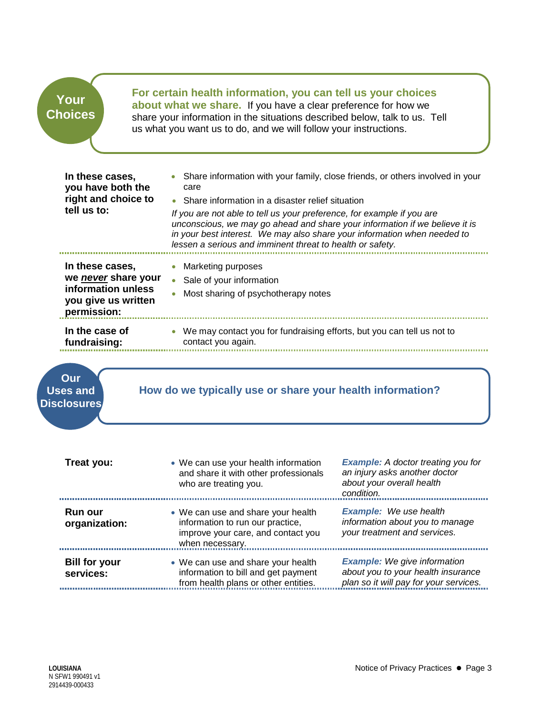| Your<br><b>Choices</b>                                                                             | For certain health information, you can tell us your choices<br>about what we share. If you have a clear preference for how we<br>share your information in the situations described below, talk to us. Tell<br>us what you want us to do, and we will follow your instructions.                                                                                                                                                              |                                                                                                                       |
|----------------------------------------------------------------------------------------------------|-----------------------------------------------------------------------------------------------------------------------------------------------------------------------------------------------------------------------------------------------------------------------------------------------------------------------------------------------------------------------------------------------------------------------------------------------|-----------------------------------------------------------------------------------------------------------------------|
| In these cases,<br>you have both the<br>right and choice to<br>tell us to:                         | Share information with your family, close friends, or others involved in your<br>care<br>• Share information in a disaster relief situation<br>If you are not able to tell us your preference, for example if you are<br>unconscious, we may go ahead and share your information if we believe it is<br>in your best interest. We may also share your information when needed to<br>lessen a serious and imminent threat to health or safety. |                                                                                                                       |
| In these cases,<br>we never share your<br>information unless<br>you give us written<br>permission: | <b>Marketing purposes</b><br>$\bullet$<br>Sale of your information<br>$\bullet$<br>Most sharing of psychotherapy notes                                                                                                                                                                                                                                                                                                                        |                                                                                                                       |
| In the case of<br>fundraising:                                                                     | • We may contact you for fundraising efforts, but you can tell us not to<br>contact you again.                                                                                                                                                                                                                                                                                                                                                |                                                                                                                       |
| Our<br><b>Uses and</b><br><b>Disclosures</b>                                                       | How do we typically use or share your health information?                                                                                                                                                                                                                                                                                                                                                                                     |                                                                                                                       |
| Treat you:                                                                                         | • We can use your health information<br>and share it with other professionals<br>who are treating you.                                                                                                                                                                                                                                                                                                                                        | <b>Example:</b> A doctor treating you for<br>an injury asks another doctor<br>about your overall health<br>condition. |
| <b>Run our</b><br>organization:                                                                    | • We can use and share your health<br>information to run our practice,<br>improve your care, and contact you<br>when necessary.                                                                                                                                                                                                                                                                                                               | <b>Example:</b> We use health<br>information about you to manage<br>your treatment and services.                      |
| <b>Bill for your</b><br>services:                                                                  | • We can use and share your health<br>information to bill and get payment<br>from health plans or other entities.                                                                                                                                                                                                                                                                                                                             | <b>Example:</b> We give information<br>about you to your health insurance<br>plan so it will pay for your services.   |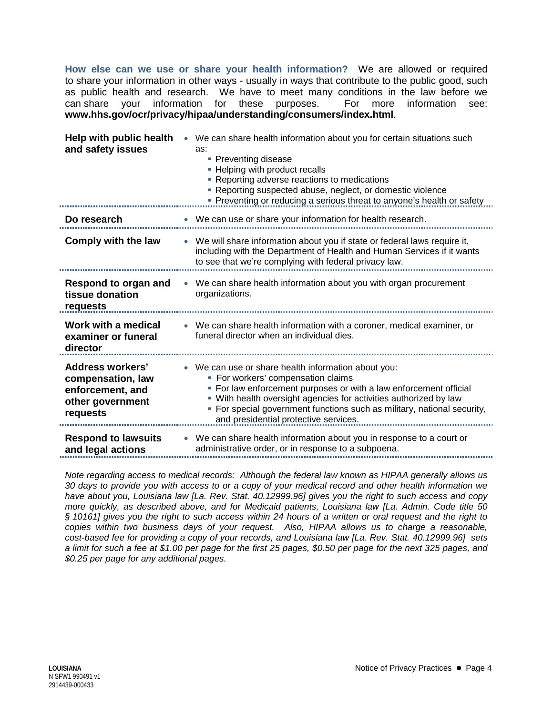**How else can we use or share your health information?** We are allowed or required to share your information in other ways - usually in ways that contribute to the public good, such as public health and research. We have to meet many conditions in the law before we can share your information for these purposes. For more information see: **www.hhs.gov/ocr/privacy/hipaa/understanding/consumers/index.html**.

| Help with public health<br>and safety issues                                                     | We can share health information about you for certain situations such<br>as:<br>• Preventing disease<br>Helping with product recalls<br>• Reporting adverse reactions to medications<br>Reporting suspected abuse, neglect, or domestic violence<br>• Preventing or reducing a serious threat to anyone's health or safety                        |
|--------------------------------------------------------------------------------------------------|---------------------------------------------------------------------------------------------------------------------------------------------------------------------------------------------------------------------------------------------------------------------------------------------------------------------------------------------------|
| Do research                                                                                      | We can use or share your information for health research.                                                                                                                                                                                                                                                                                         |
| Comply with the law                                                                              | We will share information about you if state or federal laws require it,<br>۰<br>including with the Department of Health and Human Services if it wants<br>to see that we're complying with federal privacy law.                                                                                                                                  |
| Respond to organ and<br>tissue donation<br>requests                                              | • We can share health information about you with organ procurement<br>organizations.                                                                                                                                                                                                                                                              |
| Work with a medical<br>examiner or funeral<br>director                                           | We can share health information with a coroner, medical examiner, or<br>$\bullet$<br>funeral director when an individual dies.                                                                                                                                                                                                                    |
| <b>Address workers'</b><br>compensation, law<br>enforcement, and<br>other government<br>requests | We can use or share health information about you:<br>• For workers' compensation claims<br>For law enforcement purposes or with a law enforcement official<br>With health oversight agencies for activities authorized by law<br>• For special government functions such as military, national security,<br>and presidential protective services. |
| <b>Respond to lawsuits</b><br>and legal actions                                                  | We can share health information about you in response to a court or<br>$\bullet$<br>administrative order, or in response to a subpoena.                                                                                                                                                                                                           |

*Note regarding access to medical records: Although the federal law known as HIPAA generally allows us 30 days to provide you with access to or a copy of your medical record and other health information we have about you, Louisiana law [La. Rev. Stat. 40.12999.96] gives you the right to such access and copy more quickly, as described above, and for Medicaid patients, Louisiana law [La. Admin. Code title 50 § 10161] gives you the right to such access within 24 hours of a written or oral request and the right to copies within two business days of your request. Also, HIPAA allows us to charge a reasonable, cost-based fee for providing a copy of your records, and Louisiana law [La. Rev. Stat. 40.12999.96] sets a limit for such a fee at \$1.00 per page for the first 25 pages, \$0.50 per page for the next 325 pages, and \$0.25 per page for any additional pages.*